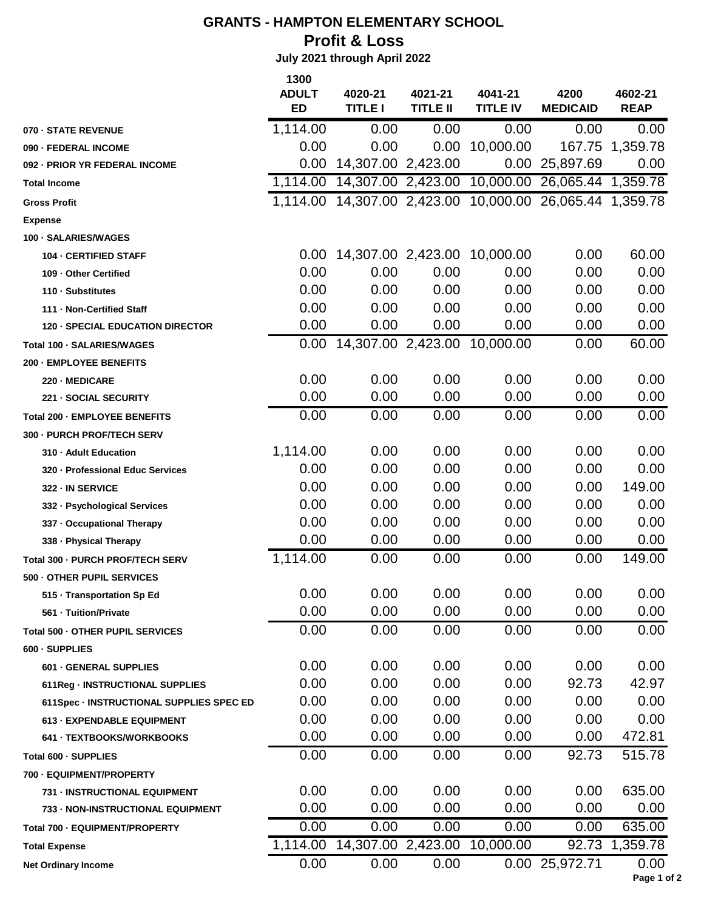## **GRANTS - HAMPTON ELEMENTARY SCHOOL Profit & Loss**

 **July 2021 through April 2022**

|                                          | 1300         |                    |                 |                 |                              |                |
|------------------------------------------|--------------|--------------------|-----------------|-----------------|------------------------------|----------------|
|                                          | <b>ADULT</b> | 4020-21            | 4021-21         | 4041-21         | 4200                         | 4602-21        |
|                                          | <b>ED</b>    | <b>TITLE I</b>     | <b>TITLE II</b> | <b>TITLE IV</b> | <b>MEDICAID</b>              | <b>REAP</b>    |
| 070 - STATE REVENUE                      | 1,114.00     | 0.00               | 0.00            | 0.00            | 0.00                         | 0.00           |
| 090 - FEDERAL INCOME                     | 0.00         | 0.00               | 0.00            | 10,000.00       | 167.75                       | 1,359.78       |
| 092 - PRIOR YR FEDERAL INCOME            | 0.00         | 14,307.00 2,423.00 |                 | 0.00            | 25,897.69                    | 0.00           |
| <b>Total Income</b>                      | 1,114.00     | 14,307.00 2,423.00 |                 | 10,000.00       | 26,065.44 1,359.78           |                |
| <b>Gross Profit</b>                      | 1,114.00     | 14,307.00 2,423.00 |                 |                 | 10,000.00 26,065.44 1,359.78 |                |
| <b>Expense</b>                           |              |                    |                 |                 |                              |                |
| 100 - SALARIES/WAGES                     |              |                    |                 |                 |                              |                |
| <b>104 - CERTIFIED STAFF</b>             | 0.00         | 14,307.00 2,423.00 |                 | 10,000.00       | 0.00                         | 60.00          |
| 109 - Other Certified                    | 0.00         | 0.00               | 0.00            | 0.00            | 0.00                         | 0.00           |
| 110 - Substitutes                        | 0.00         | 0.00               | 0.00            | 0.00            | 0.00                         | 0.00           |
| 111 - Non-Certified Staff                | 0.00         | 0.00               | 0.00            | 0.00            | 0.00                         | 0.00           |
| <b>120 - SPECIAL EDUCATION DIRECTOR</b>  | 0.00         | 0.00               | 0.00            | 0.00            | 0.00                         | 0.00           |
| Total 100 - SALARIES/WAGES               | 0.00         | 14,307.00 2,423.00 |                 | 10,000.00       | 0.00                         | 60.00          |
| 200 - EMPLOYEE BENEFITS                  |              |                    |                 |                 |                              |                |
| 220 MEDICARE                             | 0.00         | 0.00               | 0.00            | 0.00            | 0.00                         | 0.00           |
| 221 - SOCIAL SECURITY                    | 0.00         | 0.00               | 0.00            | 0.00            | 0.00                         | 0.00           |
| Total 200 - EMPLOYEE BENEFITS            | 0.00         | 0.00               | 0.00            | 0.00            | 0.00                         | 0.00           |
| 300 - PURCH PROF/TECH SERV               |              |                    |                 |                 |                              |                |
| 310 - Adult Education                    | 1,114.00     | 0.00               | 0.00            | 0.00            | 0.00                         | 0.00           |
| 320 - Professional Educ Services         | 0.00         | 0.00               | 0.00            | 0.00            | 0.00                         | 0.00           |
| 322 - IN SERVICE                         | 0.00         | 0.00               | 0.00            | 0.00            | 0.00                         | 149.00         |
| 332 - Psychological Services             | 0.00         | 0.00               | 0.00            | 0.00            | 0.00                         | 0.00           |
| 337 - Occupational Therapy               | 0.00         | 0.00               | 0.00            | 0.00            | 0.00                         | 0.00           |
| 338 - Physical Therapy                   | 0.00         | 0.00               | 0.00            | 0.00            | 0.00                         | 0.00           |
| Total 300 - PURCH PROF/TECH SERV         | 1,114.00     | 0.00               | 0.00            | 0.00            | 0.00                         | 149.00         |
| 500 - OTHER PUPIL SERVICES               |              |                    |                 |                 |                              |                |
| 515 - Transportation Sp Ed               | 0.00         | 0.00               | 0.00            | 0.00            | 0.00                         | 0.00           |
| 561 - Tuition/Private                    | 0.00         | 0.00               | 0.00            | 0.00            | 0.00                         | 0.00           |
| Total 500 - OTHER PUPIL SERVICES         | 0.00         | 0.00               | 0.00            | 0.00            | 0.00                         | 0.00           |
| 600 - SUPPLIES                           |              |                    |                 |                 |                              |                |
| 601 - GENERAL SUPPLIES                   | 0.00         | 0.00               | 0.00            | 0.00            | 0.00                         | 0.00           |
| 611Reg - INSTRUCTIONAL SUPPLIES          | 0.00         | 0.00               | 0.00            | 0.00            | 92.73                        | 42.97          |
| 611Spec - INSTRUCTIONAL SUPPLIES SPEC ED | 0.00         | 0.00               | 0.00            | 0.00            | 0.00                         | 0.00           |
| 613 - EXPENDABLE EQUIPMENT               | 0.00         | 0.00               | 0.00            | 0.00            | 0.00                         | 0.00           |
| 641 - TEXTBOOKS/WORKBOOKS                | 0.00         | 0.00               | 0.00            | 0.00            | 0.00                         | 472.81         |
| Total 600 - SUPPLIES                     | 0.00         | 0.00               | 0.00            | 0.00            | 92.73                        | 515.78         |
| 700 - EQUIPMENT/PROPERTY                 |              |                    |                 |                 |                              |                |
| 731 - INSTRUCTIONAL EQUIPMENT            | 0.00         | 0.00               | 0.00            | 0.00            | 0.00                         | 635.00         |
| 733 - NON-INSTRUCTIONAL EQUIPMENT        | 0.00         | 0.00               | 0.00            | 0.00            | 0.00                         | 0.00           |
| Total 700 - EQUIPMENT/PROPERTY           | 0.00         | 0.00               | 0.00            | 0.00            | 0.00                         | 635.00         |
| <b>Total Expense</b>                     | 1,114.00     | 14,307.00 2,423.00 |                 | 10,000.00       |                              | 92.73 1,359.78 |
| <b>Net Ordinary Income</b>               | 0.00         | 0.00               | 0.00            |                 | 0.00 25,972.71               | 0.00           |
|                                          |              |                    |                 |                 |                              | $Dao 4 c$      |